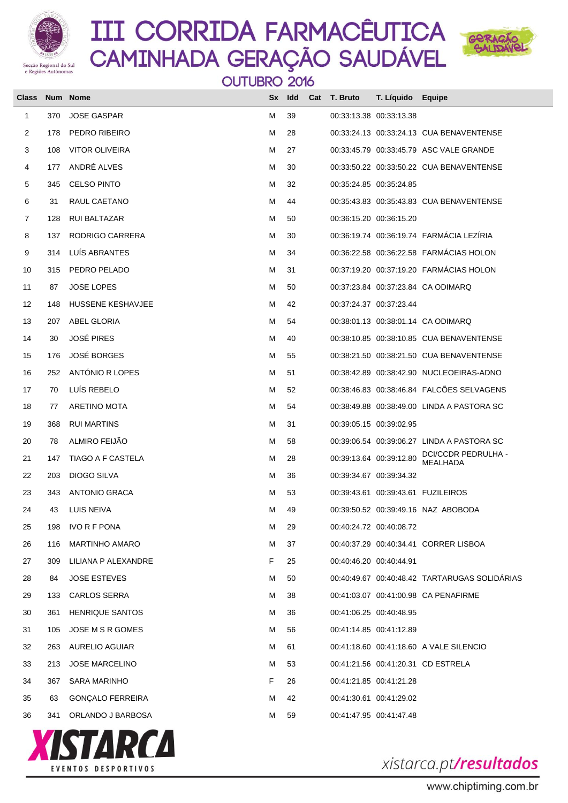



OUTUBRO 2016

| <b>Class</b> |     | Num Nome                 |    | Sx Idd | Cat T. Bruto            | T. Líquido Equipe       |                                               |
|--------------|-----|--------------------------|----|--------|-------------------------|-------------------------|-----------------------------------------------|
| 1            | 370 | <b>JOSE GASPAR</b>       | М  | 39     |                         | 00:33:13.38 00:33:13.38 |                                               |
| 2            | 178 | PEDRO RIBEIRO            | М  | 28     |                         |                         | 00:33:24.13 00:33:24.13 CUA BENAVENTENSE      |
| 3            | 108 | <b>VITOR OLIVEIRA</b>    | М  | 27     |                         |                         | 00:33:45.79 00:33:45.79 ASC VALE GRANDE       |
| 4            | 177 | ANDRÉ ALVES              | М  | 30     |                         |                         | 00:33:50.22 00:33:50.22 CUA BENAVENTENSE      |
| 5            | 345 | <b>CELSO PINTO</b>       | М  | 32     |                         | 00:35:24.85 00:35:24.85 |                                               |
| 6            | 31  | RAUL CAETANO             | М  | 44     |                         |                         | 00:35:43.83 00:35:43.83 CUA BENAVENTENSE      |
| 7            | 128 | <b>RUI BALTAZAR</b>      | м  | 50     |                         | 00:36:15.20 00:36:15.20 |                                               |
| 8            | 137 | RODRIGO CARRERA          | М  | 30     |                         |                         | 00:36:19.74 00:36:19.74 FARMÁCIA LEZÍRIA      |
| 9            | 314 | LUÍS ABRANTES            | м  | 34     |                         |                         | 00:36:22.58 00:36:22.58 FARMÁCIAS HOLON       |
| 10           | 315 | PEDRO PELADO             | М  | 31     |                         |                         | 00:37:19.20 00:37:19.20 FARMÁCIAS HOLON       |
| 11           | 87  | <b>JOSE LOPES</b>        | м  | 50     |                         |                         | 00:37:23.84 00:37:23.84 CA ODIMARQ            |
| 12           | 148 | HUSSENE KESHAVJEE        | М  | 42     | 00:37:24.37 00:37:23.44 |                         |                                               |
| 13           | 207 | ABEL GLORIA              | м  | 54     |                         |                         | 00:38:01.13 00:38:01.14 CA ODIMARQ            |
| 14           | 30  | <b>JOSÉ PIRES</b>        | м  | 40     |                         |                         | 00:38:10.85 00:38:10.85 CUA BENAVENTENSE      |
| 15           | 176 | <b>JOSÉ BORGES</b>       | м  | 55     |                         |                         | 00:38:21.50 00:38:21.50 CUA BENAVENTENSE      |
| 16           | 252 | ANTÓNIO R LOPES          | м  | 51     |                         |                         | 00:38:42.89  00:38:42.90  NUCLEOEIRAS-ADNO    |
| 17           | 70  | LUÍS REBELO              | М  | 52     |                         |                         | 00:38:46.83 00:38:46.84 FALCÕES SELVAGENS     |
| 18           | 77  | <b>ARETINO MOTA</b>      | м  | 54     |                         |                         | 00:38:49.88 00:38:49.00 LINDA A PASTORA SC    |
| 19           | 368 | <b>RUI MARTINS</b>       | м  | 31     | 00:39:05.15 00:39:02.95 |                         |                                               |
| 20           | 78  | ALMIRO FEIJÃO            | м  | 58     |                         |                         | 00:39:06.54 00:39:06.27 LINDA A PASTORA SC    |
| 21           | 147 | <b>TIAGO A F CASTELA</b> | м  | 28     |                         | 00:39:13.64 00:39:12.80 | DCI/CCDR PEDRULHA -<br><b>MEALHADA</b>        |
| 22           | 203 | DIOGO SILVA              | М  | 36     |                         | 00:39:34.67 00:39:34.32 |                                               |
| 23           | 343 | ANTONIO GRACA            | М  | 53     |                         |                         | 00:39:43.61 00:39:43.61 FUZILEIROS            |
| 24           | 43  | <b>LUIS NEIVA</b>        | м  | 49     |                         |                         | 00:39:50.52 00:39:49.16 NAZ ABOBODA           |
| 25           | 198 | <b>IVO R F PONA</b>      | м  | 29     |                         | 00:40:24.72 00:40:08.72 |                                               |
| 26           | 116 | <b>MARTINHO AMARO</b>    | м  | 37     |                         |                         | 00:40:37.29 00:40:34.41 CORRER LISBOA         |
| 27           | 309 | LILIANA P ALEXANDRE      | F. | 25     | 00:40:46.20 00:40:44.91 |                         |                                               |
| 28           | 84  | <b>JOSE ESTEVES</b>      | м  | 50     |                         |                         | 00:40:49.67 00:40:48.42 TARTARUGAS SOLIDÁRIAS |
| 29           | 133 | <b>CARLOS SERRA</b>      | м  | 38     |                         |                         | 00:41:03.07 00:41:00.98 CA PENAFIRME          |
| 30           | 361 | <b>HENRIQUE SANTOS</b>   | м  | 36     | 00:41:06.25 00:40:48.95 |                         |                                               |
| 31           | 105 | JOSE M S R GOMES         | м  | 56     | 00:41:14.85 00:41:12.89 |                         |                                               |
| 32           | 263 | AURELIO AGUIAR           | м  | 61     |                         |                         | 00:41:18.60 00:41:18.60 A VALE SILENCIO       |
| 33           | 213 | <b>JOSE MARCELINO</b>    | м  | 53     |                         |                         | 00:41:21.56 00:41:20.31 CD ESTRELA            |
| 34           | 367 | SARA MARINHO             | F. | 26     | 00:41:21.85 00:41:21.28 |                         |                                               |
| 35           | 63  | <b>GONÇALO FERREIRA</b>  | м  | 42     | 00:41:30.61 00:41:29.02 |                         |                                               |
| 36           | 341 | ORLANDO J BARBOSA        | м  | 59     | 00:41:47.95 00:41:47.48 |                         |                                               |
|              |     |                          |    |        |                         |                         |                                               |

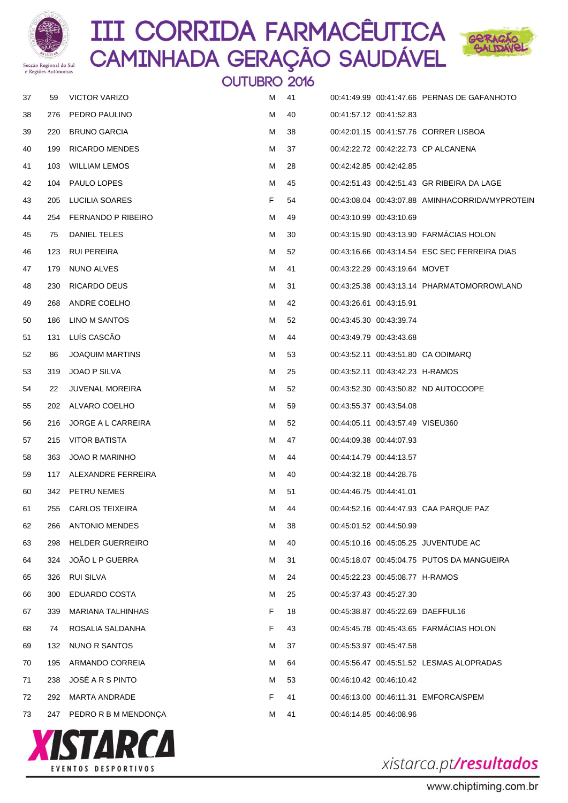



|    |     |                           | OUTUBRO 2016 |    |                                  |                                               |
|----|-----|---------------------------|--------------|----|----------------------------------|-----------------------------------------------|
| 37 | 59  | <b>VICTOR VARIZO</b>      | м            | 41 |                                  | 00:41:49.99 00:41:47.66 PERNAS DE GAFANHOTO   |
| 38 | 276 | PEDRO PAULINO             | М            | 40 | 00:41:57.12 00:41:52.83          |                                               |
| 39 | 220 | <b>BRUNO GARCIA</b>       | м            | 38 |                                  | 00:42:01.15 00:41:57.76 CORRER LISBOA         |
| 40 | 199 | RICARDO MENDES            | м            | 37 |                                  | 00:42:22.72 00:42:22.73 CP ALCANENA           |
| 41 | 103 | <b>WILLIAM LEMOS</b>      | м            | 28 | 00:42:42.85 00:42:42.85          |                                               |
| 42 | 104 | PAULO LOPES               | м            | 45 |                                  | 00:42:51.43 00:42:51.43 GR RIBEIRA DA LAGE    |
| 43 | 205 | LUCILIA SOARES            | F.           | 54 |                                  |                                               |
| 44 | 254 | <b>FERNANDO P RIBEIRO</b> | М            | 49 | 00:43:10.99 00:43:10.69          |                                               |
| 45 | 75  | DANIEL TELES              | М            | 30 |                                  | 00:43:15.90 00:43:13.90 FARMACIAS HOLON       |
| 46 | 123 | <b>RUI PEREIRA</b>        | м            | 52 |                                  | 00:43:16.66 00:43:14.54 ESC SEC FERREIRA DIAS |
| 47 | 179 | NUNO ALVES                | М            | 41 | 00:43:22.29 00:43:19.64 MOVET    |                                               |
| 48 | 230 | RICARDO DEUS              | м            | 31 |                                  | 00:43:25.38  00:43:13.14  PHARMATOMORROWLAND  |
| 49 | 268 | ANDRE COELHO              | М            | 42 | 00:43:26.61 00:43:15.91          |                                               |
| 50 | 186 | LINO M SANTOS             | м            | 52 | 00:43:45.30 00:43:39.74          |                                               |
| 51 | 131 | LUÍS CASCÃO               | М            | 44 | 00:43:49.79 00:43:43.68          |                                               |
| 52 | 86  | <b>JOAQUIM MARTINS</b>    | М            | 53 |                                  | 00:43:52.11 00:43:51.80 CA ODIMARQ            |
| 53 | 319 | JOAO P SILVA              | М            | 25 | 00:43:52.11 00:43:42.23 H-RAMOS  |                                               |
| 54 | 22  | <b>JUVENAL MOREIRA</b>    | М            | 52 |                                  | 00:43:52.30 00:43:50.82 ND AUTOCOOPE          |
| 55 | 202 | ALVARO COELHO             | М            | 59 | 00:43:55.37 00:43:54.08          |                                               |
| 56 | 216 | JORGE A L CARREIRA        | м            | 52 | 00:44:05.11 00:43:57.49 VISEU360 |                                               |
| 57 | 215 | VITOR BATISTA             | М            | 47 | 00:44:09.38 00:44:07.93          |                                               |
| 58 | 363 | <b>JOAO R MARINHO</b>     | М            | 44 | 00:44:14.79 00:44:13.57          |                                               |
| 59 | 117 | ALEXANDRE FERREIRA        | М            | 40 | 00:44:32.18 00:44:28.76          |                                               |
| 60 |     | 342 PETRU NEMES           | м            | 51 | 00:44:46.75 00:44:41.01          |                                               |
| 61 | 255 | <b>CARLOS TEIXEIRA</b>    | M            | 44 |                                  | 00:44:52.16 00:44:47.93 CAA PARQUE PAZ        |
| 62 | 266 | <b>ANTONIO MENDES</b>     | M            | 38 | 00:45:01.52 00:44:50.99          |                                               |
| 63 | 298 | <b>HELDER GUERREIRO</b>   | M            | 40 |                                  | 00:45:10.16 00:45:05.25 JUVENTUDE AC          |
| 64 | 324 | JOAO L P GUERRA           | м            | 31 |                                  | 00:45:18.07  00:45:04.75  PUTOS DA MANGUEIRA  |
| 65 | 326 | <b>RUI SILVA</b>          | M            | 24 | 00:45:22.23 00:45:08.77 H-RAMOS  |                                               |
| 66 | 300 | EDUARDO COSTA             | М            | 25 | 00:45:37.43 00:45:27.30          |                                               |
| 67 | 339 | <b>MARIANA TALHINHAS</b>  | F.           | 18 |                                  | 00:45:38.87 00:45:22.69 DAEFFUL16             |
| 68 | 74  | ROSALIA SALDANHA          | F.           | 43 |                                  | 00:45:45.78 00:45:43.65 FARMÁCIAS HOLON       |
| 69 | 132 | NUNO R SANTOS             | м            | 37 | 00:45:53.97 00:45:47.58          |                                               |
| 70 | 195 | ARMANDO CORREIA           | M            | 64 |                                  | 00:45:56.47 00:45:51.52 LESMAS ALOPRADAS      |
| 71 | 238 | JOSE A R S PINTO          | М            | 53 | 00:46:10.42 00:46:10.42          |                                               |
| 72 | 292 | MARTA ANDRADE             | F.           | 41 |                                  | 00:46:13.00  00:46:11.31    EMFORCA/SPEM      |
| 73 |     | 247 PEDROR B M MENDONÇA   | м            | 41 | 00:46:14.85 00:46:08.96          |                                               |

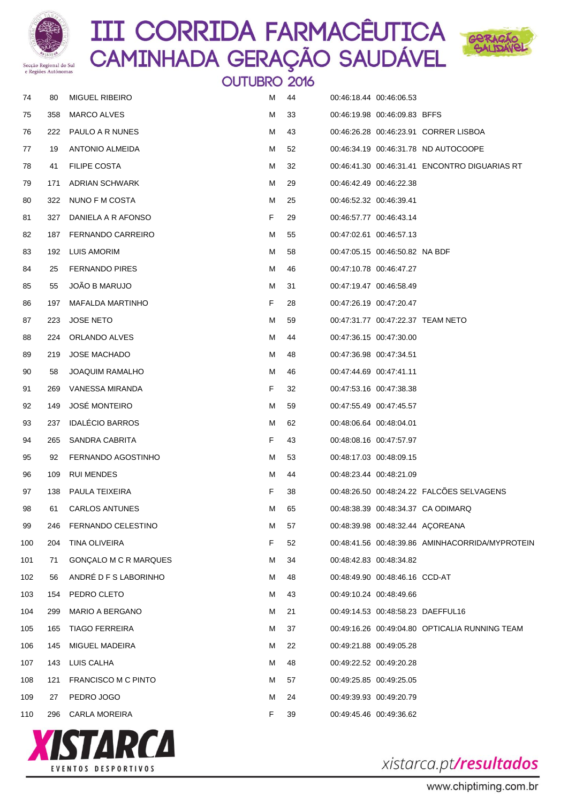



|     | e Regioes Autonomas |                          | <b>OUTUBRO 2016</b> |    |                         |                                  |                                                   |
|-----|---------------------|--------------------------|---------------------|----|-------------------------|----------------------------------|---------------------------------------------------|
| 74  | 80                  | <b>MIGUEL RIBEIRO</b>    | м                   | 44 |                         | 00:46:18.44 00:46:06.53          |                                                   |
| 75  | 358                 | MARCO ALVES              | M                   | 33 |                         | 00:46:19.98 00:46:09.83 BFFS     |                                                   |
| 76  | 222                 | PAULO A R NUNES          | M                   | 43 |                         |                                  | 00:46:26.28 00:46:23.91 CORRER LISBOA             |
| 77  | 19                  | <b>ANTONIO ALMEIDA</b>   | M                   | 52 |                         |                                  | 00:46:34.19  00:46:31.78  ND  AUTOCOOPE           |
| 78  | 41                  | <b>FILIPE COSTA</b>      | M                   | 32 |                         |                                  | 00:46:41.30 00:46:31.41 ENCONTRO DIGUARIAS RT     |
| 79  | 171                 | ADRIAN SCHWARK           | M                   | 29 |                         | 00:46:42.49 00:46:22.38          |                                                   |
| 80  | 322                 | NUNO F M COSTA           | M                   | 25 | 00:46:52.32 00:46:39.41 |                                  |                                                   |
| 81  | 327                 | DANIELA A R AFONSO       | F                   | 29 |                         | 00:46:57.77 00:46:43.14          |                                                   |
| 82  | 187                 | <b>FERNANDO CARREIRO</b> | M                   | 55 |                         | 00:47:02.61 00:46:57.13          |                                                   |
| 83  | 192                 | LUIS AMORIM              | M                   | 58 |                         | 00:47:05.15 00:46:50.82 NA BDF   |                                                   |
| 84  | 25                  | <b>FERNANDO PIRES</b>    | M                   | 46 |                         | 00:47:10.78 00:46:47.27          |                                                   |
| 85  | 55                  | JOAO B MARUJO            | M                   | 31 |                         | 00:47:19.47 00:46:58.49          |                                                   |
| 86  | 197                 | <b>MAFALDA MARTINHO</b>  | F                   | 28 |                         | 00:47:26.19 00:47:20.47          |                                                   |
| 87  | 223                 | <b>JOSE NETO</b>         | M                   | 59 |                         |                                  | 00:47:31.77 00:47:22.37 TEAM NETO                 |
| 88  | 224                 | ORLANDO ALVES            | м                   | 44 |                         | 00:47:36.15 00:47:30.00          |                                                   |
| 89  | 219                 | <b>JOSE MACHADO</b>      | M                   | 48 |                         | 00:47:36.98 00:47:34.51          |                                                   |
| 90  | 58                  | <b>JOAQUIM RAMALHO</b>   | M                   | 46 |                         | 00:47:44.69 00:47:41.11          |                                                   |
| 91  | 269                 | VANESSA MIRANDA          | F                   | 32 |                         | 00:47:53.16 00:47:38.38          |                                                   |
| 92  | 149                 | <b>JOSE MONTEIRO</b>     | M                   | 59 |                         | 00:47:55.49 00:47:45.57          |                                                   |
| 93  | 237                 | <b>IDALECIO BARROS</b>   | M                   | 62 |                         | 00:48:06.64 00:48:04.01          |                                                   |
| 94  | 265                 | SANDRA CABRITA           | F                   | 43 |                         | 00:48:08.16 00:47:57.97          |                                                   |
| 95  | 92                  | FERNANDO AGOSTINHO       | M                   | 53 |                         | 00:48:17.03 00:48:09.15          |                                                   |
| 96  | 109                 | <b>RUI MENDES</b>        | M                   | 44 |                         | 00:48:23.44 00:48:21.09          |                                                   |
| 97  | 138                 | <b>PAULA TEIXEIRA</b>    | F                   | 38 |                         |                                  | 00:48:26.50 00:48:24.22 FALCOES SELVAGENS         |
| 98  | 61                  | <b>CARLOS ANTUNES</b>    | м                   | 65 |                         |                                  | 00:48:38.39 00:48:34.37 CA ODIMARQ                |
| 99  | 246                 | FERNANDO CELESTINO       | м                   | 57 |                         | 00:48:39.98 00:48:32.44 ACOREANA |                                                   |
| 100 | 204                 | TINA OLIVEIRA            | F                   | 52 |                         |                                  | 00:48:41.56  00:48:39.86  AMINHACORRIDA/MYPROTEIN |
| 101 | 71                  | GONÇALO M C R MARQUES    | м                   | 34 |                         | 00:48:42.83 00:48:34.82          |                                                   |
| 102 | 56                  | ANDRÉ D F S LABORINHO    | м                   | 48 |                         | 00:48:49.90 00:48:46.16 CCD-AT   |                                                   |
| 103 | 154                 | PEDRO CLETO              | M                   | 43 |                         | 00:49:10.24 00:48:49.66          |                                                   |
| 104 | 299                 | <b>MARIO A BERGANO</b>   | M                   | 21 |                         |                                  | 00:49:14.53 00:48:58.23 DAEFFUL16                 |
| 105 | 165                 | <b>TIAGO FERREIRA</b>    | м                   | 37 |                         |                                  | 00:49:16.26 00:49:04.80 OPTICALIA RUNNING TEAM    |
| 106 | 145                 | MIGUEL MADEIRA           | M                   | 22 |                         | 00:49:21.88 00:49:05.28          |                                                   |
| 107 | 143                 | LUIS CALHA               | M                   | 48 |                         | 00:49:22.52 00:49:20.28          |                                                   |
| 108 | 121                 | FRANCISCO M C PINTO      | м                   | 57 |                         | 00:49:25.85 00:49:25.05          |                                                   |
| 109 | 27                  | PEDRO JOGO               | M                   | 24 |                         | 00:49:39.93 00:49:20.79          |                                                   |
| 110 |                     | 296 CARLA MOREIRA        | F.                  | 39 |                         | 00:49:45.46 00:49:36.62          |                                                   |



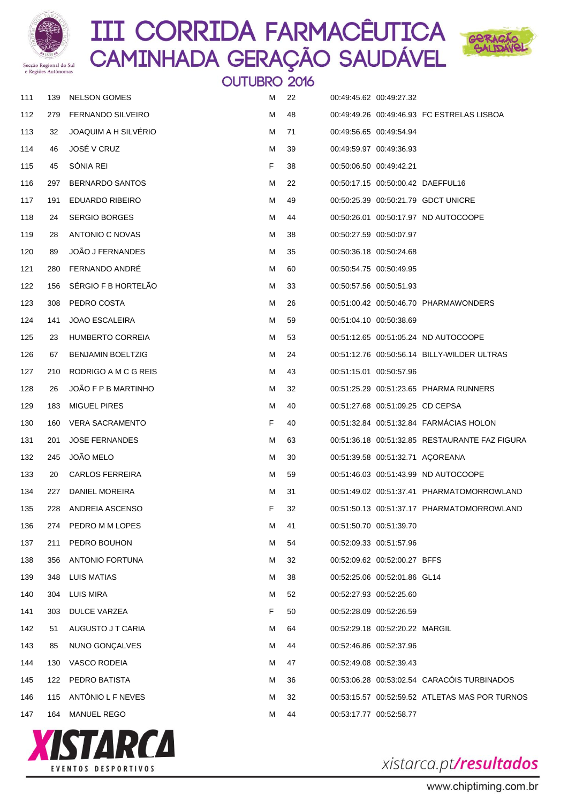



|     | A VIAMINADO LEBIONIANDO |                          | <b>OUTUBRO 2016</b> |    |                                  |                                                |
|-----|-------------------------|--------------------------|---------------------|----|----------------------------------|------------------------------------------------|
| 111 | 139                     | <b>NELSON GOMES</b>      | м                   | 22 | 00:49:45.62 00:49:27.32          |                                                |
| 112 | 279                     | <b>FERNANDO SILVEIRO</b> | М                   | 48 |                                  | 00:49:49.26 00:49:46.93 FC ESTRELAS LISBOA     |
| 113 | 32                      | JOAQUIM A H SILVÉRIO     | м                   | 71 | 00:49:56.65 00:49:54.94          |                                                |
| 114 | 46                      | JOSÉ V CRUZ              | м                   | 39 | 00:49:59.97 00:49:36.93          |                                                |
| 115 | 45                      | SÓNIA REI                | F                   | 38 | 00:50:06.50 00:49:42.21          |                                                |
| 116 | 297                     | <b>BERNARDO SANTOS</b>   | М                   | 22 |                                  | 00:50:17.15 00:50:00.42 DAEFFUL16              |
| 117 | 191                     | <b>EDUARDO RIBEIRO</b>   | м                   | 49 |                                  | 00:50:25.39 00:50:21.79 GDCT UNICRE            |
| 118 | 24                      | <b>SERGIO BORGES</b>     | м                   | 44 |                                  | 00:50:26.01  00:50:17.97  ND AUTOCOOPE         |
| 119 | 28                      | ANTONIO C NOVAS          | М                   | 38 | 00:50:27.59 00:50:07.97          |                                                |
| 120 | 89                      | JOÃO J FERNANDES         | м                   | 35 | 00:50:36.18 00:50:24.68          |                                                |
| 121 | 280                     | <b>FERNANDO ANDRE</b>    | М                   | 60 | 00:50:54.75 00:50:49.95          |                                                |
| 122 | 156                     | SÉRGIO F B HORTELÃO      | м                   | 33 | 00:50:57.56 00:50:51.93          |                                                |
| 123 | 308                     | PEDRO COSTA              | М                   | 26 |                                  | 00:51:00.42 00:50:46.70 PHARMAWONDERS          |
| 124 | 141                     | <b>JOAO ESCALEIRA</b>    | м                   | 59 | 00:51:04.10 00:50:38.69          |                                                |
| 125 | 23                      | <b>HUMBERTO CORREIA</b>  | М                   | 53 |                                  | 00:51:12.65 00:51:05.24 ND AUTOCOOPE           |
| 126 | 67                      | <b>BENJAMIN BOELTZIG</b> | м                   | 24 |                                  | 00:51:12.76 00:50:56.14 BILLY-WILDER ULTRAS    |
| 127 | 210                     | RODRIGO A M C G REIS     | М                   | 43 | 00:51:15.01 00:50:57.96          |                                                |
| 128 | 26                      | JOAO F P B MARTINHO      | м                   | 32 |                                  | 00:51:25.29 00:51:23.65 PHARMA RUNNERS         |
| 129 | 183                     | <b>MIGUEL PIRES</b>      | М                   | 40 | 00:51:27.68 00:51:09.25 CD CEPSA |                                                |
| 130 | 160                     | <b>VERA SACRAMENTO</b>   | F                   | 40 |                                  | 00:51:32.84 00:51:32.84 FARMÁCIAS HOLON        |
| 131 | 201                     | <b>JOSE FERNANDES</b>    | М                   | 63 |                                  | 00:51:36.18 00:51:32.85 RESTAURANTE FAZ FIGURA |
| 132 | 245                     | JOÃO MELO                | м                   | 30 |                                  | 00:51:39.58 00:51:32.71 ACOREANA               |
| 133 | 20                      | <b>CARLOS FERREIRA</b>   | м                   | 59 |                                  | 00:51:46.03 00:51:43.99 ND AUTOCOOPE           |
| 134 | 227                     | DANIEL MOREIRA           | м                   | 31 |                                  |                                                |
| 135 | 228                     | ANDREIA ASCENSO          | F                   | 32 |                                  | 00:51:50.13  00:51:37.17  PHARMATOMORROWLAND   |
| 136 | 274                     | PEDRO M M LOPES          | М                   | 41 | 00:51:50.70 00:51:39.70          |                                                |
| 137 | 211                     | PEDRO BOUHON             | м                   | 54 | 00:52:09.33 00:51:57.96          |                                                |
| 138 | 356                     | ANTONIO FORTUNA          | м                   | 32 | 00:52:09.62 00:52:00.27 BFFS     |                                                |
| 139 | 348                     | LUIS MATIAS              | м                   | 38 | 00:52:25.06 00:52:01.86 GL14     |                                                |
| 140 | 304                     | <b>LUIS MIRA</b>         | М                   | 52 | 00:52:27.93 00:52:25.60          |                                                |
| 141 | 303                     | DULCE VARZEA             | F                   | 50 | 00:52:28.09 00:52:26.59          |                                                |
| 142 | 51                      | AUGUSTO J T CARIA        | м                   | 64 | 00:52:29.18 00:52:20.22 MARGIL   |                                                |
| 143 | 85                      | NUNO GONÇALVES           | м                   | 44 | 00:52:46.86 00:52:37.96          |                                                |
| 144 | 130                     | <b>VASCO RODEIA</b>      | м                   | 47 | 00:52:49.08 00:52:39.43          |                                                |
| 145 | 122                     | PEDRO BATISTA            | м                   | 36 |                                  | 00:53:06.28 00:53:02.54 CARACÓIS TURBINADOS    |
| 146 | 115                     | ANTÓNIO L F NEVES        | м                   | 32 |                                  | 00:53:15.57 00:52:59.52 ATLETAS MAS POR TURNOS |
| 147 | 164                     | MANUEL REGO              | м                   | 44 | 00:53:17.77 00:52:58.77          |                                                |



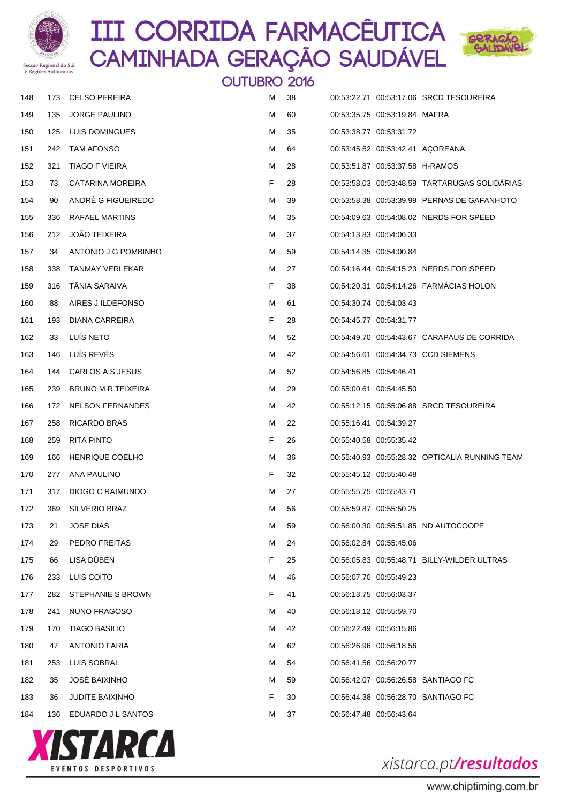



|     |     |                        | <b>OUTUBRO 2016</b> |    |                                 |                                                |
|-----|-----|------------------------|---------------------|----|---------------------------------|------------------------------------------------|
| 148 | 173 | <b>CELSO PEREIRA</b>   | м                   | 38 |                                 | 00:53:22.71 00:53:17.06 SRCD TESOUREIRA        |
| 149 | 135 | <b>JORGE PAULINO</b>   | м                   | 60 | 00:53:35.75 00:53:19.84 MAFRA   |                                                |
| 150 | 125 | LUIS DOMINGUES         | м                   | 35 | 00:53:38.77 00:53:31.72         |                                                |
| 151 | 242 | TAM AFONSO             | м                   | 64 |                                 | 00:53:45.52 00:53:42.41 ACOREANA               |
| 152 | 321 | TIAGO F VIEIRA         | м                   | 28 | 00:53:51.87 00:53:37.58 H-RAMOS |                                                |
| 153 | 73  | CATARINA MOREIRA       | F.                  | 28 |                                 | 00:53:58.03 00:53:48.59 TARTARUGAS SOLIDARIAS  |
| 154 | 90  | ANDRÉ G FIGUEIREDO     | м                   | 39 |                                 | 00:53:58.38 00:53:39.99 PERNAS DE GAFANHOTO    |
| 155 | 336 | RAFAEL MARTINS         | м                   | 35 |                                 | 00:54:09.63 00:54:08.02 NERDS FOR SPEED        |
| 156 | 212 | JOÃO TEIXEIRA          | м                   | 37 | 00:54:13.83 00:54:06.33         |                                                |
| 157 | 34  | ANTONIO J G POMBINHO   | м                   | 59 | 00:54:14.35 00:54:00.84         |                                                |
| 158 | 338 | TANMAY VERLEKAR        | м                   | 27 |                                 | 00:54:16.44 00:54:15.23 NERDS FOR SPEED        |
| 159 | 316 | TÂNIA SARAIVA          | F.                  | 38 |                                 | 00:54:20.31 00:54:14.26 FARMÁCIAS HOLON        |
| 160 | 88  | AIRES J ILDEFONSO      | м                   | 61 | 00:54:30.74 00:54:03.43         |                                                |
| 161 | 193 | DIANA CARREIRA         | F.                  | 28 | 00:54:45.77 00:54:31.77         |                                                |
| 162 | 33  | LUÍS NETO              | м                   | 52 |                                 | 00:54:49.70 00:54:43.67 CARAPAUS DE CORRIDA    |
| 163 | 146 | LUÍS REVÉS             | м                   | 42 |                                 | 00:54:56.61 00:54:34.73 CCD SIEMENS            |
| 164 | 144 | CARLOS A S JESUS       | м                   | 52 | 00:54:56.85 00:54:46.41         |                                                |
| 165 | 239 | BRUNO M R TEIXEIRA     | м                   | 29 | 00:55:00.61 00:54:45.50         |                                                |
| 166 | 172 | NELSON FERNANDES       | м                   | 42 |                                 | 00:55:12.15 00:55:06.88 SRCD TESOUREIRA        |
| 167 | 258 | <b>RICARDO BRAS</b>    | м                   | 22 | 00:55:16.41 00:54:39.27         |                                                |
| 168 | 259 | RITA PINTO             | F.                  | 26 | 00:55:40.58 00:55:35.42         |                                                |
| 169 | 166 | <b>HENRIQUE COELHO</b> | м                   | 36 |                                 | 00:55:40.93 00:55:28.32 OPTICALIA RUNNING TEAM |
| 170 | 277 | ANA PAULINO            | F.                  | 32 | 00:55:45.12 00:55:40.48         |                                                |
| 171 | 317 | DIOGO C RAIMUNDO       | м                   | 27 | 00:55:55.75 00:55:43.71         |                                                |
| 172 | 369 | SILVERIO BRAZ          | м                   | 56 | 00:55:59.87 00:55:50.25         |                                                |
| 173 | 21  | <b>JOSE DIAS</b>       | м                   | 59 |                                 | 00:56:00.30 00:55:51.85 ND AUTOCOOPE           |
| 174 | 29  | PEDRO FREITAS          | м                   | 24 | 00:56:02.84 00:55:45.06         |                                                |
| 175 | 66  | LISA DUBEN             | F.                  | 25 |                                 | 00:56:05.83  00:55:48.71  BILLY-WILDER ULTRAS  |
| 176 | 233 | LUIS COITO             | м                   | 46 | 00:56:07.70 00:55:49.23         |                                                |
| 177 | 282 | STEPHANIE S BROWN      | F.                  | 41 | 00:56:13.75 00:56:03.37         |                                                |
| 178 | 241 | NUNO FRAGOSO           | м                   | 40 | 00:56:18.12 00:55:59.70         |                                                |
| 179 | 170 | <b>TIAGO BASILIO</b>   | м                   | 42 | 00:56:22.49 00:56:15.86         |                                                |
| 180 | 47  | <b>ANTONIO FARIA</b>   | м                   | 62 | 00:56:26.96 00:56:18.56         |                                                |
| 181 | 253 | LUIS SOBRAL            | м                   | 54 | 00:56:41.56 00:56:20.77         |                                                |
| 182 | 35  | <b>JOSÉ BAIXINHO</b>   | м                   | 59 |                                 | 00:56:42.07 00:56:26.58 SANTIAGO FC            |
| 183 | 36  | <b>JUDITE BAIXINHO</b> | F.                  | 30 |                                 | 00:56:44.38 00:56:28.70 SANTIAGO FC            |
| 184 |     | 136 EDUARDO J L SANTOS | м                   | 37 | 00:56:47.48 00:56:43.64         |                                                |

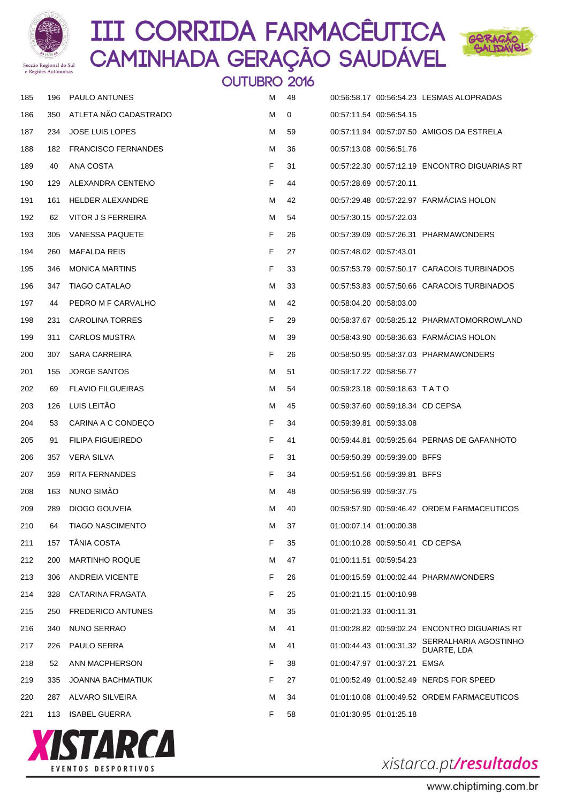



|     |     |                            | <b>OUTUBRO 2016</b> |              |                                  |                                               |
|-----|-----|----------------------------|---------------------|--------------|----------------------------------|-----------------------------------------------|
| 185 | 196 | PAULO ANTUNES              | м                   | 48           |                                  | 00:56:58.17 00:56:54.23 LESMAS ALOPRADAS      |
| 186 | 350 | ATLETA NÃO CADASTRADO      | м                   | $\mathbf{0}$ | 00:57:11.54 00:56:54.15          |                                               |
| 187 | 234 | <b>JOSE LUIS LOPES</b>     | м                   | 59           |                                  | 00:57:11.94 00:57:07.50 AMIGOS DA ESTRELA     |
| 188 | 182 | <b>FRANCISCO FERNANDES</b> | М                   | 36           | 00:57:13.08 00:56:51.76          |                                               |
| 189 | 40  | ANA COSTA                  | F.                  | 31           |                                  | 00:57:22.30 00:57:12.19 ENCONTRO DIGUARIAS RT |
| 190 | 129 | ALEXANDRA CENTENO          | F.                  | 44           | 00:57:28.69 00:57:20.11          |                                               |
| 191 |     | 161 HELDER ALEXANDRE       | м                   | 42           |                                  | 00:57:29.48 00:57:22.97 FARMÁCIAS HOLON       |
| 192 | 62  | VITOR J S FERREIRA         | м                   | 54           | 00:57:30.15 00:57:22.03          |                                               |
| 193 | 305 | <b>VANESSA PAQUETE</b>     | F                   | 26           |                                  | 00:57:39.09  00:57:26.31  PHARMAWONDERS       |
| 194 | 260 | <b>MAFALDA REIS</b>        | F.                  | 27           | 00:57:48.02 00:57:43.01          |                                               |
| 195 | 346 | <b>MONICA MARTINS</b>      | F                   | 33           |                                  | 00:57:53.79 00:57:50.17 CARACOIS TURBINADOS   |
| 196 | 347 | <b>TIAGO CATALAO</b>       | м                   | 33           |                                  | 00:57:53.83 00:57:50.66 CARACOIS TURBINADOS   |
| 197 | 44  | PEDRO M F CARVALHO         | М                   | 42           | 00:58:04.20 00:58:03.00          |                                               |
| 198 | 231 | <b>CAROLINA TORRES</b>     | F.                  | 29           |                                  | 00:58:37.67  00:58:25.12  PHARMATOMORROWLAND  |
| 199 | 311 | <b>CARLOS MUSTRA</b>       | м                   | 39           |                                  | 00:58:43.90 00:58:36.63 FARMÁCIAS HOLON       |
| 200 | 307 | SARA CARREIRA              | F                   | 26           |                                  | 00:58:50.95 00:58:37.03 PHARMAWONDERS         |
| 201 | 155 | <b>JORGE SANTOS</b>        | м                   | 51           | 00:59:17.22 00:58:56.77          |                                               |
| 202 | 69  | <b>FLAVIO FILGUEIRAS</b>   | М                   | 54           | 00:59:23.18 00:59:18.63 TATO     |                                               |
| 203 | 126 | LUIS LEITÃO                | м                   | 45           | 00:59:37.60 00:59:18.34 CD CEPSA |                                               |
| 204 | 53  | CARINA A C CONDEÇO         | F                   | 34           | 00:59:39.81 00:59:33.08          |                                               |
| 205 | 91  | <b>FILIPA FIGUEIREDO</b>   | F                   | 41           |                                  | 00:59:44.81 00:59:25.64 PERNAS DE GAFANHOTO   |
| 206 | 357 | VERA SILVA                 | F                   | 31           | 00:59:50.39 00:59:39.00 BFFS     |                                               |
| 207 | 359 | <b>RITA FERNANDES</b>      | F                   | 34           | 00:59:51.56 00:59:39.81 BFFS     |                                               |
| 208 | 163 | NUNO SIMÃO                 | M                   | 48           | 00:59:56.99 00:59:37.75          |                                               |
| 209 | 289 | DIOGO GOUVEIA              | м                   | 40           |                                  | 00:59:57.90 00:59:46.42 ORDEM FARMACEUTICOS   |
| 210 | 64  | <b>TIAGO NASCIMENTO</b>    | м                   | 37           | 01:00:07.14 01:00:00.38          |                                               |
| 211 | 157 | <b>TANIA COSTA</b>         | F                   | 35           | 01:00:10.28 00:59:50.41 CD CEPSA |                                               |
| 212 | 200 | <b>MARTINHO ROQUE</b>      | м                   | 47           | 01:00:11.51 00:59:54.23          |                                               |
| 213 | 306 | ANDREIA VICENTE            | F                   | 26           |                                  | 01:00:15.59  01:00:02.44  PHARMAWONDERS       |
| 214 | 328 | CATARINA FRAGATA           | F                   | 25           | 01:00:21.15 01:00:10.98          |                                               |
| 215 | 250 | <b>FREDERICO ANTUNES</b>   | м                   | 35           | 01:00:21.33 01:00:11.31          |                                               |
| 216 | 340 | NUNO SERRAO                | м                   | 41           |                                  | 01:00:28.82 00:59:02.24 ENCONTRO DIGUARIAS RT |
| 217 | 226 | PAULO SERRA                | м                   | 41           | 01:00:44.43 01:00:31.32          | SERRALHARIA AGOSTINHO<br>DUARTE, LDA          |
| 218 | 52  | ANN MACPHERSON             | F                   | 38           | 01:00:47.97 01:00:37.21 EMSA     |                                               |
| 219 | 335 | <b>JOANNA BACHMATIUK</b>   | F                   | 27           |                                  | 01:00:52.49  01:00:52.49  NERDS FOR SPEED     |
| 220 | 287 | ALVARO SILVEIRA            | м                   | 34           |                                  | 01:01:10.08  01:00:49.52  ORDEM FARMACEUTICOS |
| 221 |     | 113 ISABEL GUERRA          | F.                  | 58           | 01:01:30.95 01:01:25.18          |                                               |

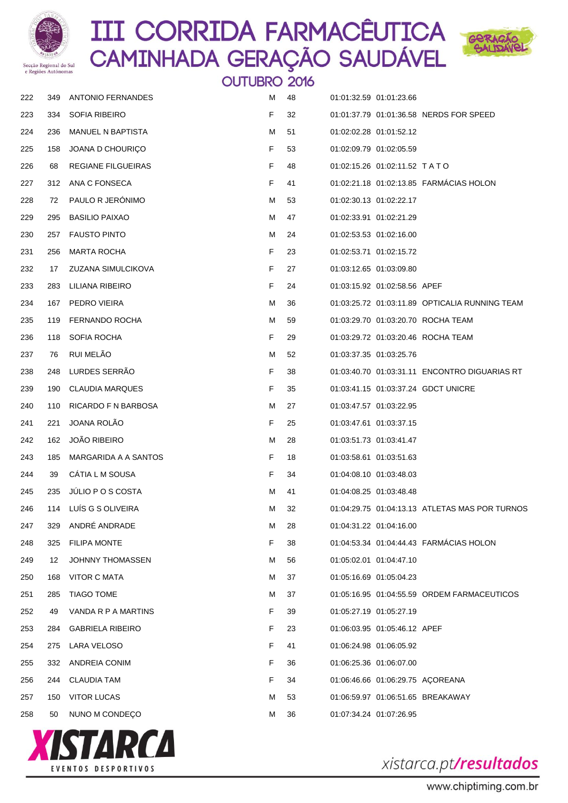



|     | e Regiões Autonomas |                          | <b>OUTUBRO 2016</b> |    |                         |                                    |                                                 |
|-----|---------------------|--------------------------|---------------------|----|-------------------------|------------------------------------|-------------------------------------------------|
| 222 | 349                 | <b>ANTONIO FERNANDES</b> | м                   | 48 |                         | 01:01:32.59 01:01:23.66            |                                                 |
| 223 | 334                 | <b>SOFIA RIBEIRO</b>     | F                   | 32 |                         |                                    | 01:01:37.79 01:01:36.58 NERDS FOR SPEED         |
| 224 | 236                 | <b>MANUEL N BAPTISTA</b> | м                   | 51 |                         | 01:02:02.28 01:01:52.12            |                                                 |
| 225 | 158                 | JOANA D CHOURICO         | F                   | 53 |                         | 01:02:09.79 01:02:05.59            |                                                 |
| 226 | 68                  | REGIANE FILGUEIRAS       | F                   | 48 |                         | 01:02:15.26 01:02:11.52 TATO       |                                                 |
| 227 | 312                 | ANA C FONSECA            | F                   | 41 |                         |                                    | 01:02:21.18 01:02:13.85 FARMÁCIAS HOLON         |
| 228 | 72                  | PAULO R JERÓNIMO         | м                   | 53 |                         | 01:02:30.13 01:02:22.17            |                                                 |
| 229 | 295                 | <b>BASILIO PAIXAO</b>    | м                   | 47 | 01:02:33.91 01:02:21.29 |                                    |                                                 |
| 230 | 257                 | <b>FAUSTO PINTO</b>      | м                   | 24 |                         | 01:02:53.53 01:02:16.00            |                                                 |
| 231 | 256                 | <b>MARTA ROCHA</b>       | F                   | 23 |                         | 01:02:53.71 01:02:15.72            |                                                 |
| 232 | 17                  | ZUZANA SIMULCIKOVA       | F                   | 27 |                         | 01:03:12.65 01:03:09.80            |                                                 |
| 233 | 283                 | LILIANA RIBEIRO          | F                   | 24 |                         | 01:03:15.92  01:02:58.56  APEF     |                                                 |
| 234 | 167                 | PEDRO VIEIRA             | М                   | 36 |                         |                                    | 01:03:25.72 01:03:11.89 OPTICALIA RUNNING TEAM  |
| 235 | 119                 | FERNANDO ROCHA           | м                   | 59 |                         |                                    | 01:03:29.70 01:03:20.70 ROCHA TEAM              |
| 236 | 118                 | SOFIA ROCHA              | F                   | 29 |                         |                                    | 01:03:29.72 01:03:20.46 ROCHA TEAM              |
| 237 | 76                  | RUI MELÃO                | м                   | 52 |                         | 01:03:37.35 01:03:25.76            |                                                 |
| 238 | 248                 | LURDES SERRÃO            | F                   | 38 |                         |                                    | 01:03:40.70  01:03:31.11  ENCONTRO DIGUARIAS RT |
| 239 | 190                 | <b>CLAUDIA MARQUES</b>   | F                   | 35 |                         |                                    | 01:03:41.15  01:03:37.24  GDCT UNICRE           |
| 240 | 110                 | RICARDO F N BARBOSA      | м                   | 27 |                         | 01:03:47.57 01:03:22.95            |                                                 |
| 241 | 221                 | JOANA ROLÃO              | F                   | 25 |                         | 01:03:47.61 01:03:37.15            |                                                 |
| 242 | 162                 | <b>JOÃO RIBEIRO</b>      | м                   | 28 |                         | 01:03:51.73 01:03:41.47            |                                                 |
| 243 | 185                 | MARGARIDA A A SANTOS     | F                   | 18 |                         | 01:03:58.61 01:03:51.63            |                                                 |
| 244 | 39                  | CATIA L M SOUSA          | F                   | 34 |                         | 01:04:08.10 01:03:48.03            |                                                 |
| 245 | 235                 | JULIO P O S COSTA        | М                   | 41 |                         | 01:04:08.25 01:03:48.48            |                                                 |
| 246 | 114                 | LUÍS G S OLIVEIRA        | м                   | 32 |                         |                                    | 01:04:29.75 01:04:13.13 ATLETAS MAS POR TURNOS  |
| 247 | 329                 | ANDRÉ ANDRADE            | м                   | 28 |                         | 01:04:31.22 01:04:16.00            |                                                 |
| 248 | 325                 | <b>FILIPA MONTE</b>      | F                   | 38 |                         |                                    | 01:04:53.34 01:04:44.43 FARMÁCIAS HOLON         |
| 249 | 12                  | JOHNNY THOMASSEN         | м                   | 56 |                         | 01:05:02.01 01:04:47.10            |                                                 |
| 250 | 168                 | VITOR C MATA             | м                   | 37 |                         | 01:05:16.69 01:05:04.23            |                                                 |
| 251 | 285                 | <b>TIAGO TOME</b>        | м                   | 37 |                         |                                    | 01:05:16.95  01:04:55.59  ORDEM FARMACEUTICOS   |
| 252 | 49                  | VANDA R P A MARTINS      | F                   | 39 |                         | 01:05:27.19 01:05:27.19            |                                                 |
| 253 | 284                 | <b>GABRIELA RIBEIRO</b>  | F                   | 23 |                         | 01:06:03.95  01:05:46.12  APEF     |                                                 |
| 254 | 275                 | LARA VELOSO              | F                   | 41 |                         | 01:06:24.98 01:06:05.92            |                                                 |
| 255 | 332                 | ANDREIA CONIM            | F                   | 36 |                         | 01:06:25.36 01:06:07.00            |                                                 |
| 256 | 244                 | <b>CLAUDIA TAM</b>       | F                   | 34 |                         | 01:06:46.66  01:06:29.75  ACOREANA |                                                 |
| 257 | 150                 | <b>VITOR LUCAS</b>       | м                   | 53 |                         |                                    | 01:06:59.97  01:06:51.65  BREAKAWAY             |
| 258 | 50                  | NUNO M CONDEÇO           | м                   | 36 |                         | 01:07:34.24 01:07:26.95            |                                                 |

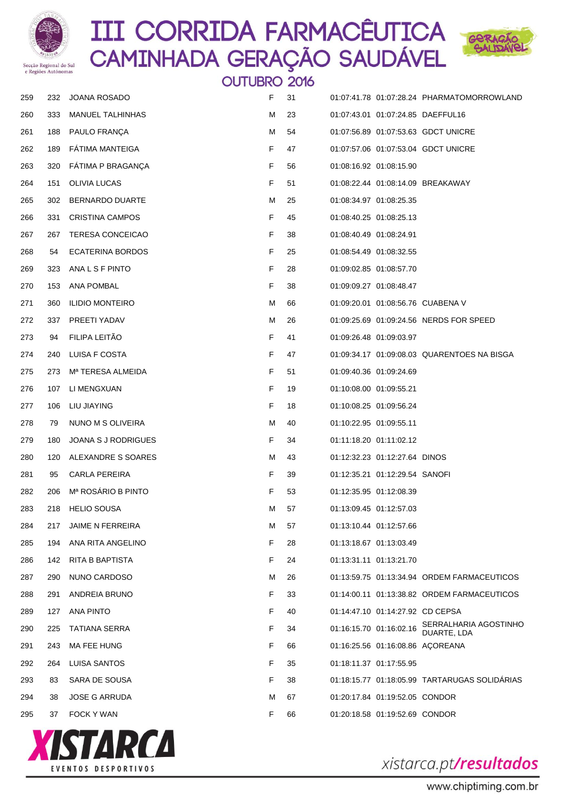



**OUTUBRO 2016**  232 JOANA ROSADO F 31 01:07:41.78 01:07:28.24 PHARMATOMORROWLAND 333 MANUEL TALHINHAS M 23 01:07:43.01 01:07:24.85 DAEFFUL16 188 PAULO FRANÇA M 54 01:07:56.89 01:07:53.63 GDCT UNICRE 189 FÁTIMA MANTEIGA F 47 01:07:57.06 01:07:53.04 GDCT UNICRE 320 FÁTIMA P BRAGANÇA F 56 01:08:16.92 01:08:15.90 151 OLIVIA LUCAS F 51 01:08:22.44 01:08:14.09 BREAKAWAY 302 BERNARDO DUARTE M 25 01:08:34.97 01:08:25.35 331 CRISTINA CAMPOS F 45 01:08:40.25 01:08:25.13 267 TERESA CONCEICAO F 38 01:08:40.49 01:08:24.91 54 ECATERINA BORDOS F 25 01:08:54.49 01:08:32.55 323 ANA L S F PINTO F 28 01:09:02.85 01:08:57.70 153 ANA POMBAL F 38 01:09:09.27 01:08:48.47 271 360 ILIDIO MONTEIRO **M 66** 01:09:20.01 01:08:56.76 CUABENA V 337 PREETI YADAV M 26 01:09:25.69 01:09:24.56 NERDS FOR SPEED 94 FILIPA LEITÃO F 41 01:09:26.48 01:09:03.97 240 LUISA F COSTA F 47 01:09:34.17 01:09:08.03 QUARENTOES NA BISGA 273 Mª TERESA ALMEIDA F 51 01:09:40.36 01:09:24.69 107 LI MENGXUAN F 19 01:10:08.00 01:09:55.21 106 LIU JIAYING F 18 01:10:08.25 01:09:56.24 278 79 NUNO M S OLIVEIRA M 20 1:10:22.95 01:09:55.11 180 JOANA S J RODRIGUES F 34 01:11:18.20 01:11:02.12 280 120 ALEXANDRE S SOARES M 43 01:12:32.23 01:12:27.64 DINOS 95 CARLA PEREIRA F 39 01:12:35.21 01:12:29.54 SANOFI 206 Mª ROSÁRIO B PINTO F 53 01:12:35.95 01:12:08.39 218 HELIO SOUSA M 57 01:13:09.45 01:12:57.03 217 JAIME N FERREIRA M 57 01:13:10.44 01:12:57.66 194 ANA RITA ANGELINO F 28 01:13:18.67 01:13:03.49 142 RITA B BAPTISTA F 24 01:13:31.11 01:13:21.70 290 NUNO CARDOSO M 26 01:13:59.75 01:13:34.94 ORDEM FARMACEUTICOS 291 ANDREIA BRUNO F 33 01:14:00.11 01:13:38.82 ORDEM FARMACEUTICOS 127 ANA PINTO F 40 01:14:47.10 01:14:27.92 CD CEPSA <sup>225</sup> TATIANA SERRA <sup>F</sup> <sup>34</sup> 01:16:15.70 01:16:02.16 SERRALHARIA AGOSTINHO DUARTE, LDA 243 MA FEE HUNG F 66 01:16:25.56 01:16:08.86 AÇOREANA 264 LUISA SANTOS F 35 01:18:11.37 01:17:55.95 83 SARA DE SOUSA F 38 01:18:15.77 01:18:05.99 TARTARUGAS SOLIDÁRIAS 38 JOSE G ARRUDA M 67 01:20:17.84 01:19:52.05 CONDOR 37 FOCK Y WAN F 66 01:20:18.58 01:19:52.69 CONDOR